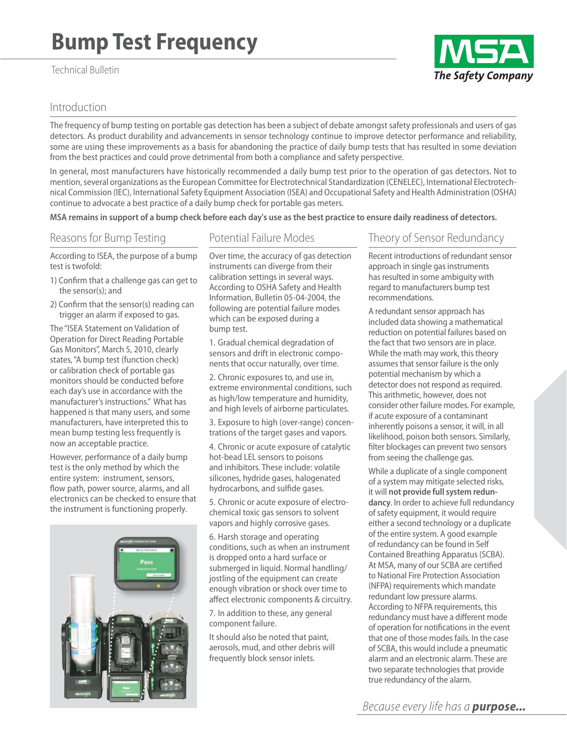# **Bump Test Frequency**

#### Technical Bulletin

## Introduction

The frequency of bump testing on portable gas detection has been a subject of debate amongst safety professionals and users of gas detectors. As product durability and advancements in sensor technology continue to improve detector performance and reliability, some are using these improvements as a basis for abandoning the practice of daily bump tests that has resulted in some deviation from the best practices and could prove detrimental from both a compliance and safety perspective.

In general, most manufacturers have historically recommended a daily bump test prior to the operation of gas detectors. Not to mention, several organizations as the European Committee for Electrotechnical Standardization (CENELEC), International Electrotechnical Commission (IEC), International Safety Equipment Association (ISEA) and Occupational Safety and Health Administration (OSHA) continue to advocate a best practice of a daily bump check for portable gas meters.

**MSA remains in support of a bump check before each day's use as the best practice to ensure daily readiness of detectors.** 

## Reasons for Bump Testing

#### Potential Failure Modes

According to ISEA, the purpose of a bump test is twofold:

- 1) Confirm that a challenge gas can get to the sensor(s); and
- 2) Confirm that the sensor(s) reading can trigger an alarm if exposed to gas.

The "ISEA Statement on Validation of Operation for Direct Reading Portable Gas Monitors", March 5, 2010, clearly states, "A bump test (function check) or calibration check of portable gas monitors should be conducted before each day's use in accordance with the manufacturer's instructions." What has happened is that many users, and some manufacturers, have interpreted this to mean bump testing less frequently is now an acceptable practice.

However, performance of a daily bump test is the only method by which the entire system: instrument, sensors, flow path, power source, alarms, and all electronics can be checked to ensure that the instrument is functioning properly.



Over time, the accuracy of gas detection instruments can diverge from their calibration settings in several ways. According to OSHA Safety and Health Information, Bulletin 05-04-2004, the following are potential failure modes which can be exposed during a bump test.

1. Gradual chemical degradation of sensors and drift in electronic components that occur naturally, over time.

2. Chronic exposures to, and use in, extreme environmental conditions, such as high/low temperature and humidity, and high levels of airborne particulates.

3. Exposure to high (over-range) concentrations of the target gases and vapors.

4. Chronic or acute exposure of catalytic hot-bead LEL sensors to poisons and inhibitors. These include: volatile silicones, hydride gases, halogenated hydrocarbons, and sulfide gases.

5. Chronic or acute exposure of electrochemical toxic gas sensors to solvent vapors and highly corrosive gases.

6. Harsh storage and operating conditions, such as when an instrument is dropped onto a hard surface or submerged in liquid. Normal handling/ jostling of the equipment can create enough vibration or shock over time to affect electronic components & circuitry.

7. In addition to these, any general component failure.

It should also be noted that paint, aerosols, mud, and other debris will frequently block sensor inlets.

## Theory of Sensor Redundancy

Recent introductions of redundant sensor approach in single gas instruments has resulted in some ambiguity with regard to manufacturers bump test recommendations.

A redundant sensor approach has included data showing a mathematical reduction on potential failures based on the fact that two sensors are in place. While the math may work, this theory assumes that sensor failure is the only potential mechanism by which a detector does not respond as required. This arithmetic, however, does not consider other failure modes. For example, if acute exposure of a contaminant inherently poisons a sensor, it will, in all likelihood, poison both sensors. Similarly, filter blockages can prevent two sensors from seeing the challenge gas.

While a duplicate of a single component of a system may mitigate selected risks, it will **not provide full system redundancy**. In order to achieve full redundancy of safety equipment, it would require either a second technology or a duplicate of the entire system. A good example of redundancy can be found in Self Contained Breathing Apparatus (SCBA). At MSA, many of our SCBA are certified to National Fire Protection Association (NFPA) requirements which mandate redundant low pressure alarms. According to NFPA requirements, this redundancy must have a different mode of operation for notifications in the event that one of those modes fails. In the case of SCBA, this would include a pneumatic alarm and an electronic alarm. These are two separate technologies that provide true redundancy of the alarm.